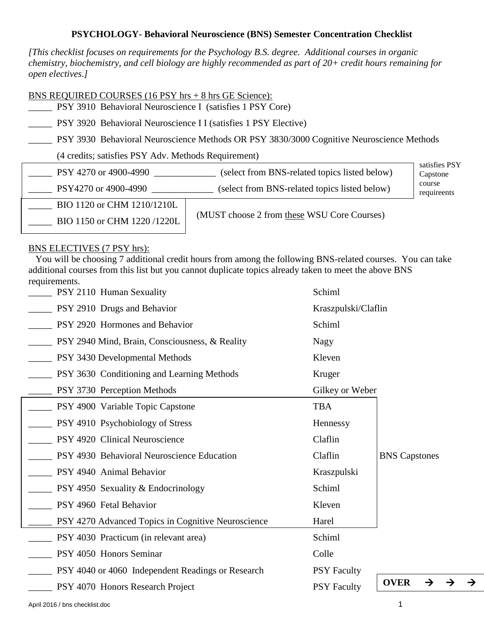## **PSYCHOLOGY- Behavioral Neuroscience (BNS) Semester Concentration Checklist**

*[This checklist focuses on requirements for the Psychology B.S. degree. Additional courses in organic chemistry, biochemistry, and cell biology are highly recommended as part of 20+ credit hours remaining for open electives.]* 

## BNS REQUIRED COURSES (16 PSY hrs + 8 hrs GE Science):

\_\_\_\_\_ PSY 3910 Behavioral Neuroscience I (satisfies 1 PSY Core)

PSY 3920 Behavioral Neuroscience I I (satisfies 1 PSY Elective)

\_\_\_\_\_ PSY 3930 Behavioral Neuroscience Methods OR PSY 3830/3000 Cognitive Neuroscience Methods

(4 credits; satisfies PSY Adv. Methods Requirement)

| PSY 4270 or 4900-4990      | (select from BNS-related topics listed below) | satisfies PSY<br>Capstone |
|----------------------------|-----------------------------------------------|---------------------------|
| PSY4270 or 4900-4990       | (select from BNS-related topics listed below) | course<br>requireents     |
| BIO 1120 or CHM 1210/1210L |                                               |                           |
| BIO 1150 or CHM 1220/1220L | (MUST choose 2 from these WSU Core Courses)   |                           |

## BNS ELECTIVES (7 PSY hrs):

 You will be choosing 7 additional credit hours from among the following BNS-related courses. You can take additional courses from this list but you cannot duplicate topics already taken to meet the above BNS requirements.

| __ PSY 2110 Human Sexuality                                         | Schiml              |                              |
|---------------------------------------------------------------------|---------------------|------------------------------|
| <b>PSY 2910 Drugs and Behavior</b>                                  | Kraszpulski/Claflin |                              |
| <b>EVALUATE:</b> PSY 2920 Hormones and Behavior                     | Schiml              |                              |
| <b>EXECUTE:</b> PSY 2940 Mind, Brain, Consciousness, & Reality      | Nagy                |                              |
| <b>EVALUATE:</b> PSY 3430 Developmental Methods                     | Kleven              |                              |
| <b>EVALUATE:</b> PSY 3630 Conditioning and Learning Methods         | Kruger              |                              |
| <b>EXTIME:</b> PSY 3730 Perception Methods                          | Gilkey or Weber     |                              |
| <b>EXECUTE:</b> PSY 4900 Variable Topic Capstone                    | <b>TBA</b>          |                              |
| <b>EVALUATE:</b> PSY 4910 Psychobiology of Stress                   | Hennessy            |                              |
| <b>EXECUTE:</b> PSY 4920 Clinical Neuroscience                      | Claflin             |                              |
| <b>EXECUTE:</b> PSY 4930 Behavioral Neuroscience Education          | Claflin             | <b>BNS Capstones</b>         |
| <b>EXT 4940 Animal Behavior</b>                                     | Kraszpulski         |                              |
| $\frac{1}{1}$ PSY 4950 Sexuality & Endocrinology                    | Schiml              |                              |
| <b>PSY 4960 Fetal Behavior</b>                                      | Kleven              |                              |
| <b>EVALUATE:</b> PSY 4270 Advanced Topics in Cognitive Neuroscience | Harel               |                              |
| PSY 4030 Practicum (in relevant area)                               | Schiml              |                              |
| <b>EXECUTE:</b> PSY 4050 Honors Seminar                             | Colle               |                              |
| <b>EVALUATE:</b> PSY 4040 or 4060 Independent Readings or Research  | <b>PSY Faculty</b>  |                              |
| <b>EXECUTE:</b> PSY 4070 Honors Research Project                    | <b>PSY Faculty</b>  | <b>OVER</b><br>$\rightarrow$ |
|                                                                     |                     |                              |